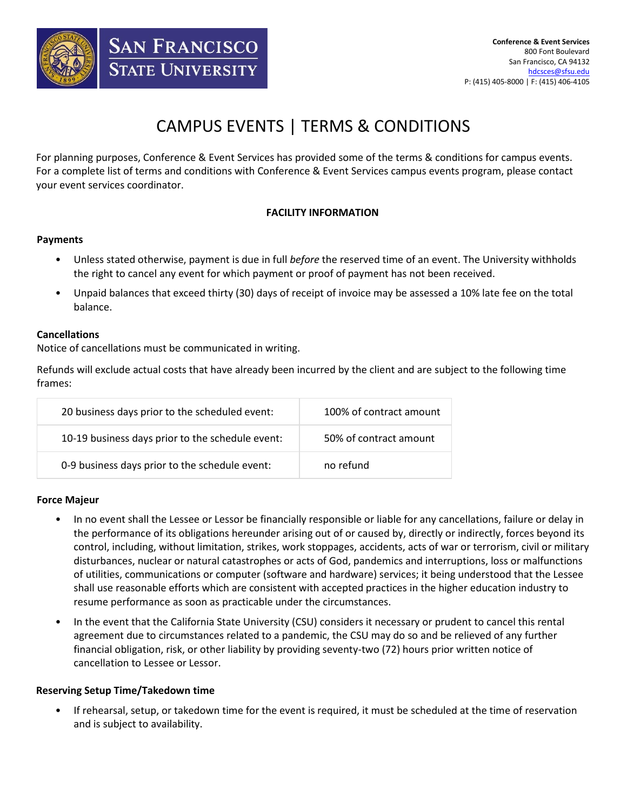

# CAMPUS EVENTS | TERMS & CONDITIONS

For planning purposes, Conference & Event Services has provided some of the terms & conditions for campus events. For a complete list of terms and conditions with Conference & Event Services campus events program, please contact your event services coordinator.

# **FACILITY INFORMATION**

## **Payments**

- Unless stated otherwise, payment is due in full *before* the reserved time of an event. The University withholds the right to cancel any event for which payment or proof of payment has not been received.
- Unpaid balances that exceed thirty (30) days of receipt of invoice may be assessed a 10% late fee on the total balance.

## **Cancellations**

Notice of cancellations must be communicated in writing.

Refunds will exclude actual costs that have already been incurred by the client and are subject to the following time frames:

| 20 business days prior to the scheduled event:   | 100% of contract amount |
|--------------------------------------------------|-------------------------|
| 10-19 business days prior to the schedule event: | 50% of contract amount  |
| 0-9 business days prior to the schedule event:   | no refund               |

## **Force Majeur**

- In no event shall the Lessee or Lessor be financially responsible or liable for any cancellations, failure or delay in the performance of its obligations hereunder arising out of or caused by, directly or indirectly, forces beyond its control, including, without limitation, strikes, work stoppages, accidents, acts of war or terrorism, civil or military disturbances, nuclear or natural catastrophes or acts of God, pandemics and interruptions, loss or malfunctions of utilities, communications or computer (software and hardware) services; it being understood that the Lessee shall use reasonable efforts which are consistent with accepted practices in the higher education industry to resume performance as soon as practicable under the circumstances.
- In the event that the California State University (CSU) considers it necessary or prudent to cancel this rental agreement due to circumstances related to a pandemic, the CSU may do so and be relieved of any further financial obligation, risk, or other liability by providing seventy-two (72) hours prior written notice of cancellation to Lessee or Lessor.

## **Reserving Setup Time/Takedown time**

• If rehearsal, setup, or takedown time for the event is required, it must be scheduled at the time of reservation and is subject to availability.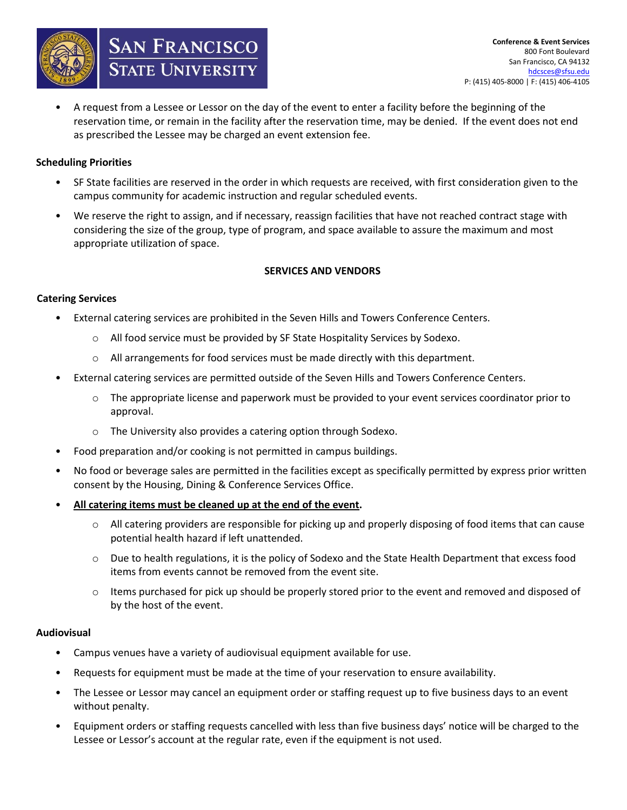

• A request from a Lessee or Lessor on the day of the event to enter a facility before the beginning of the reservation time, or remain in the facility after the reservation time, may be denied. If the event does not end as prescribed the Lessee may be charged an event extension fee.

# **Scheduling Priorities**

- SF State facilities are reserved in the order in which requests are received, with first consideration given to the campus community for academic instruction and regular scheduled events.
- We reserve the right to assign, and if necessary, reassign facilities that have not reached contract stage with considering the size of the group, type of program, and space available to assure the maximum and most appropriate utilization of space.

## **SERVICES AND VENDORS**

## **Catering Services**

- External catering services are prohibited in the Seven Hills and Towers Conference Centers.
	- o All food service must be provided by SF State Hospitality Services by Sodexo.
	- o All arrangements for food services must be made directly with this department.
- External catering services are permitted outside of the Seven Hills and Towers Conference Centers.
	- o The appropriate license and paperwork must be provided to your event services coordinator prior to approval.
	- o The University also provides a catering option through Sodexo.
- Food preparation and/or cooking is not permitted in campus buildings.
- No food or beverage sales are permitted in the facilities except as specifically permitted by express prior written consent by the Housing, Dining & Conference Services Office.
- **All catering items must be cleaned up at the end of the event.** 
	- $\circ$  All catering providers are responsible for picking up and properly disposing of food items that can cause potential health hazard if left unattended.
	- $\circ$  Due to health regulations, it is the policy of Sodexo and the State Health Department that excess food items from events cannot be removed from the event site.
	- $\circ$  Items purchased for pick up should be properly stored prior to the event and removed and disposed of by the host of the event.

## **Audiovisual**

- Campus venues have a variety of audiovisual equipment available for use.
- Requests for equipment must be made at the time of your reservation to ensure availability.
- The Lessee or Lessor may cancel an equipment order or staffing request up to five business days to an event without penalty.
- Equipment orders or staffing requests cancelled with less than five business days' notice will be charged to the Lessee or Lessor's account at the regular rate, even if the equipment is not used.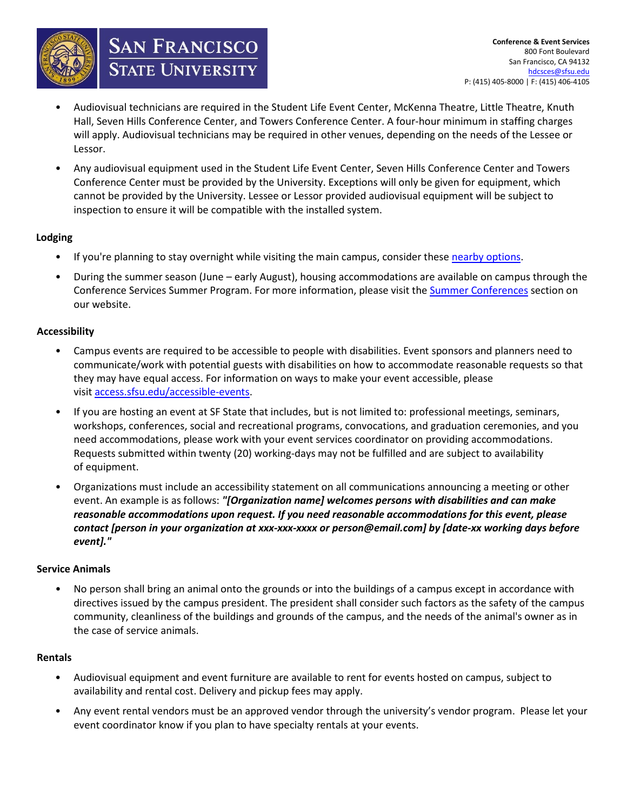

**SAN FRANCISCO**<br>State University

- Audiovisual technicians are required in the Student Life Event Center, McKenna Theatre, Little Theatre, Knuth Hall, Seven Hills Conference Center, and Towers Conference Center. A four-hour minimum in staffing charges will apply. Audiovisual technicians may be required in other venues, depending on the needs of the Lessee or Lessor.
- Any audiovisual equipment used in the Student Life Event Center, Seven Hills Conference Center and Towers Conference Center must be provided by the University. Exceptions will only be given for equipment, which cannot be provided by the University. Lessee or Lessor provided audiovisual equipment will be subject to inspection to ensure it will be compatible with the installed system.

# **Lodging**

- If you're planning to stay overnight while visiting the main campus, consider these nearby options.
- During the summer season (June early August), housing accommodations are available on campus through the Conference Services Summer Program. For more information, please visit the Summer Conferences section on our website.

# **Accessibility**

- Campus events are required to be accessible to people with disabilities. Event sponsors and planners need to communicate/work with potential guests with disabilities on how to accommodate reasonable requests so that they may have equal access. For information on ways to make your event accessible, please visit [access.sfsu.edu/accessible-events.](https://access.sfsu.edu/accessible-events)
- If you are hosting an event at SF State that includes, but is not limited to: professional meetings, seminars, workshops, conferences, social and recreational programs, convocations, and graduation ceremonies, and you need accommodations, please work with your event services coordinator on providing accommodations. Requests submitted within twenty (20) working-days may not be fulfilled and are subject to availability of equipment.
- Organizations must include an accessibility statement on all communications announcing a meeting or other event. An example is as follows: *"[Organization name] welcomes persons with disabilities and can make reasonable accommodations upon request. If you need reasonable accommodations for this event, please contact [person in your organization at xxx-xxx-xxxx or person@email.com] by [date-xx working days before event]."*

## **Service Animals**

• No person shall bring an animal onto the grounds or into the buildings of a campus except in accordance with directives issued by the campus president. The president shall consider such factors as the safety of the campus community, cleanliness of the buildings and grounds of the campus, and the needs of the animal's owner as in the case of service animals.

## **Rentals**

- Audiovisual equipment and event furniture are available to rent for events hosted on campus, subject to availability and rental cost. Delivery and pickup fees may apply.
- Any event rental vendors must be an approved vendor through the university's vendor program. Please let your event coordinator know if you plan to have specialty rentals at your events.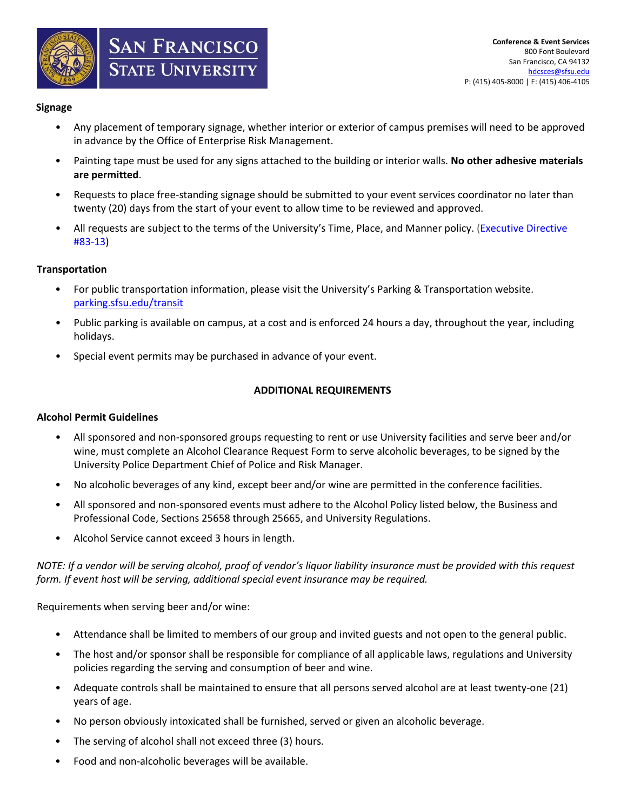

## **Signage**

- Any placement of temporary signage, whether interior or exterior of campus premises will need to be approved in advance by the Office of Enterprise Risk Management.
- Painting tape must be used for any signs attached to the building or interior walls. **No other adhesive materials are permitted**.
- Requests to place free-standing signage should be submitted to your event services coordinator no later than twenty (20) days from the start of your event to allow time to be reviewed and approved.
- All requests are subject to the terms of the University's Time, Place, and Manner policy. [\(Executive Directive](https://vpsaem.sfsu.edu/sites/default/files/SFSU_Time_Place_and_Manner_Policy.pdf)  [#83-13\)](https://vpsaem.sfsu.edu/sites/default/files/SFSU_Time_Place_and_Manner_Policy.pdf)

# **Transportation**

- For public transportation information, please visit the University's Parking & Transportation website. [parking.sfsu.edu/transit](https://parking.sfsu.edu/transit)
- Public parking is available on campus, at a cost and is enforced 24 hours a day, throughout the year, including holidays.
- Special event permits may be purchased in advance of your event.

# **ADDITIONAL REQUIREMENTS**

## **Alcohol Permit Guidelines**

- All sponsored and non-sponsored groups requesting to rent or use University facilities and serve beer and/or wine, must complete an Alcohol Clearance Request Form to serve alcoholic beverages, to be signed by the University Police Department Chief of Police and Risk Manager.
- No alcoholic beverages of any kind, except beer and/or wine are permitted in the conference facilities.
- All sponsored and non-sponsored events must adhere to the Alcohol Policy listed below, the Business and Professional Code, Sections 25658 through 25665, and University Regulations.
- Alcohol Service cannot exceed 3 hours in length.

*NOTE: If a vendor will be serving alcohol, proof of vendor's liquor liability insurance must be provided with this request form. If event host will be serving, additional special event insurance may be required.*

Requirements when serving beer and/or wine:

- Attendance shall be limited to members of our group and invited guests and not open to the general public.
- The host and/or sponsor shall be responsible for compliance of all applicable laws, regulations and University policies regarding the serving and consumption of beer and wine.
- Adequate controls shall be maintained to ensure that all persons served alcohol are at least twenty-one (21) years of age.
- No person obviously intoxicated shall be furnished, served or given an alcoholic beverage.
- The serving of alcohol shall not exceed three (3) hours.
- Food and non-alcoholic beverages will be available.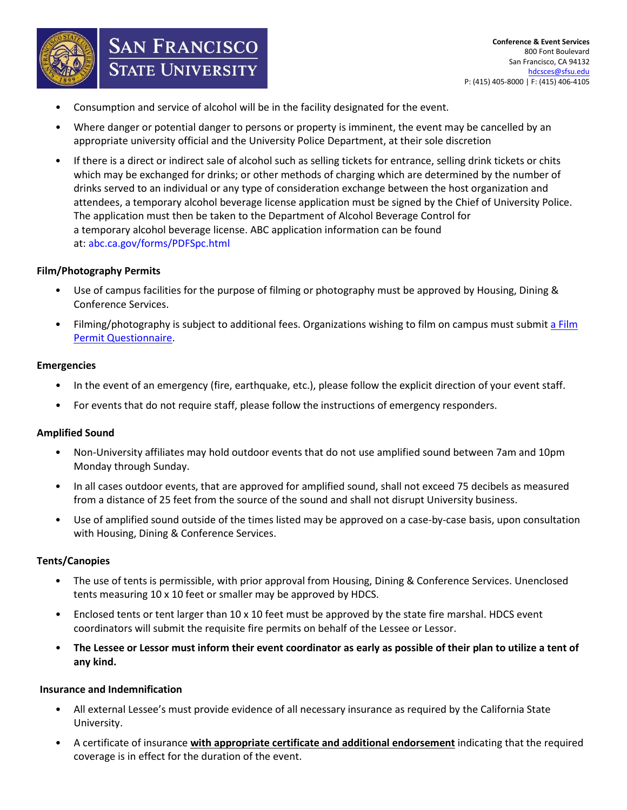

• Consumption and service of alcohol will be in the facility designated for the event.

**SAN FRANCISCO**<br>STATE UNIVERSITY

- Where danger or potential danger to persons or property is imminent, the event may be cancelled by an appropriate university official and the University Police Department, at their sole discretion
- If there is a direct or indirect sale of alcohol such as selling tickets for entrance, selling drink tickets or chits which may be exchanged for drinks; or other methods of charging which are determined by the number of drinks served to an individual or any type of consideration exchange between the host organization and attendees, a temporary alcohol beverage license application must be signed by the Chief of University Police. The application must then be taken to the Department of Alcohol Beverage Control for a temporary alcohol beverage license. ABC application information can be found at: [abc.ca.gov/forms/PDFSpc.html](http://www.abc.ca.gov/forms/PDFSpc.html)

#### **Film/Photography Permits**

- Use of campus facilities for the purpose of filming or photography must be approved by Housing, Dining & Conference Services.
- Filming/photography is subject to additional fees. Organizations wishing to film on campus must submit a Film Permit Questionnaire.

#### **Emergencies**

- In the event of an emergency (fire, earthquake, etc.), please follow the explicit direction of your event staff.
- For events that do not require staff, please follow the instructions of emergency responders.

## **Amplified Sound**

- Non-University affiliates may hold outdoor events that do not use amplified sound between 7am and 10pm Monday through Sunday.
- In all cases outdoor events, that are approved for amplified sound, shall not exceed 75 decibels as measured from a distance of 25 feet from the source of the sound and shall not disrupt University business.
- Use of amplified sound outside of the times listed may be approved on a case-by-case basis, upon consultation with Housing, Dining & Conference Services.

#### **Tents/Canopies**

- The use of tents is permissible, with prior approval from Housing, Dining & Conference Services. Unenclosed tents measuring 10 x 10 feet or smaller may be approved by HDCS.
- Enclosed tents or tent larger than 10 x 10 feet must be approved by the state fire marshal. HDCS event coordinators will submit the requisite fire permits on behalf of the Lessee or Lessor.
- **The Lessee or Lessor must inform their event coordinator as early as possible of their plan to utilize a tent of any kind.**

#### **Insurance and Indemnification**

- All external Lessee's must provide evidence of all necessary insurance as required by the California State University.
- A certificate of insurance **with appropriate certificate and additional endorsement** indicating that the required coverage is in effect for the duration of the event.